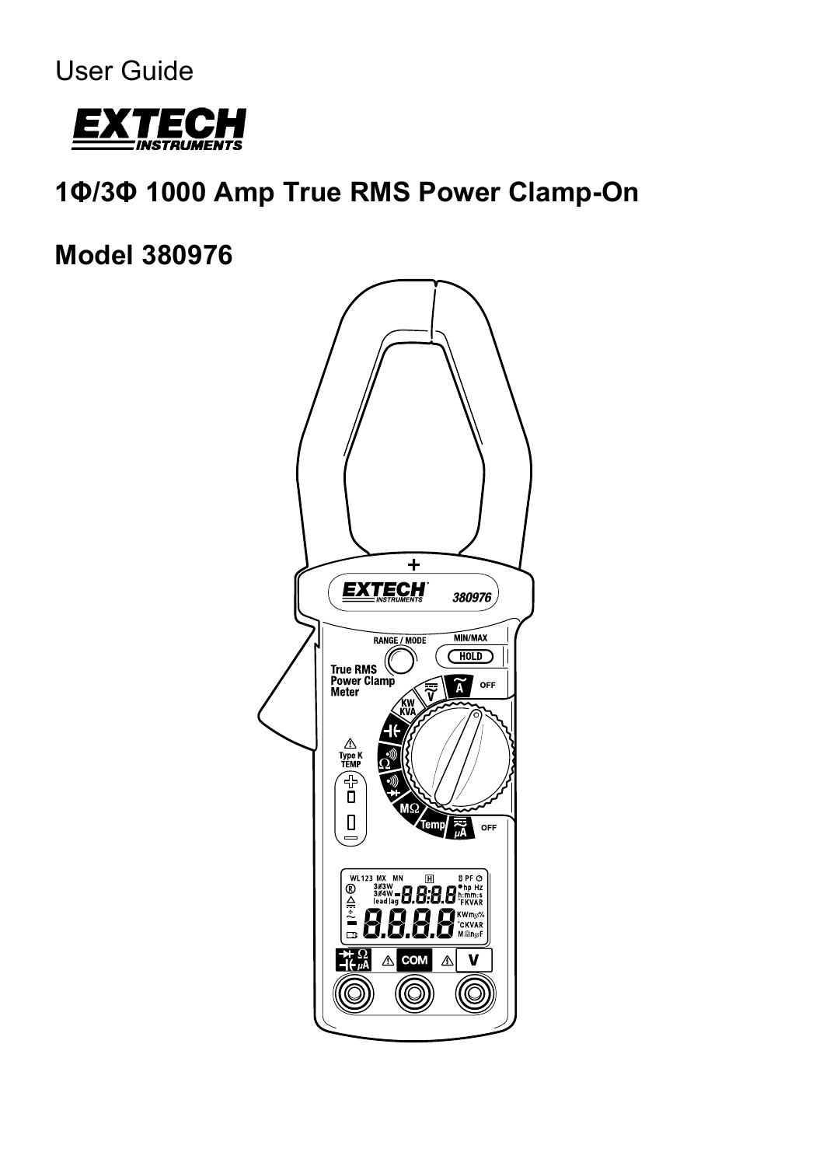User Guide



# **1Φ/3Φ 1000 Amp True RMS Power Clamp-On**

**Model 380976**

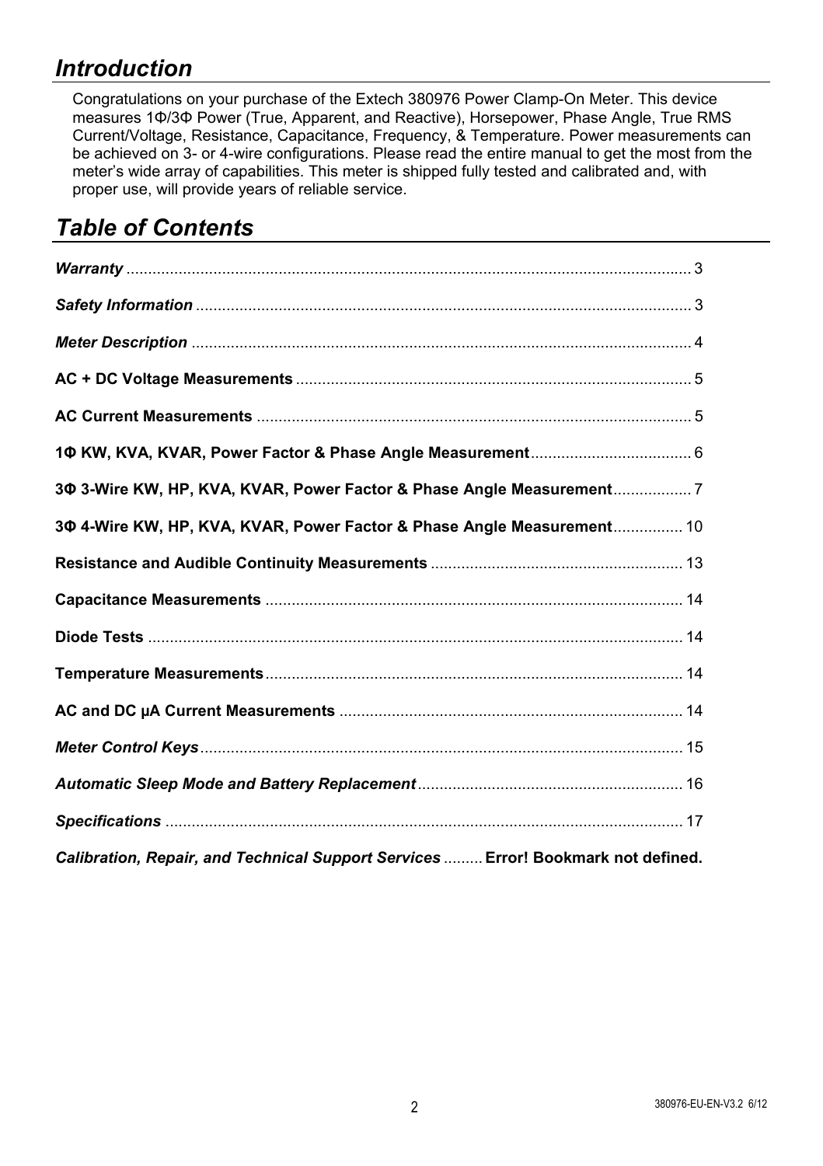## *Introduction*

Congratulations on your purchase of the Extech 380976 Power Clamp-On Meter. This device measures 1Φ/3Φ Power (True, Apparent, and Reactive), Horsepower, Phase Angle, True RMS Current/Voltage, Resistance, Capacitance, Frequency, & Temperature. Power measurements can be achieved on 3- or 4-wire configurations. Please read the entire manual to get the most from the meter's wide array of capabilities. This meter is shipped fully tested and calibrated and, with proper use, will provide years of reliable service.

## *Table of Contents*

| 3Ф 3-Wire KW, HP, KVA, KVAR, Power Factor & Phase Angle Measurement7              |
|-----------------------------------------------------------------------------------|
| 30 4-Wire KW, HP, KVA, KVAR, Power Factor & Phase Angle Measurement 10            |
|                                                                                   |
|                                                                                   |
|                                                                                   |
|                                                                                   |
|                                                                                   |
|                                                                                   |
|                                                                                   |
|                                                                                   |
| Calibration, Repair, and Technical Support Services  Error! Bookmark not defined. |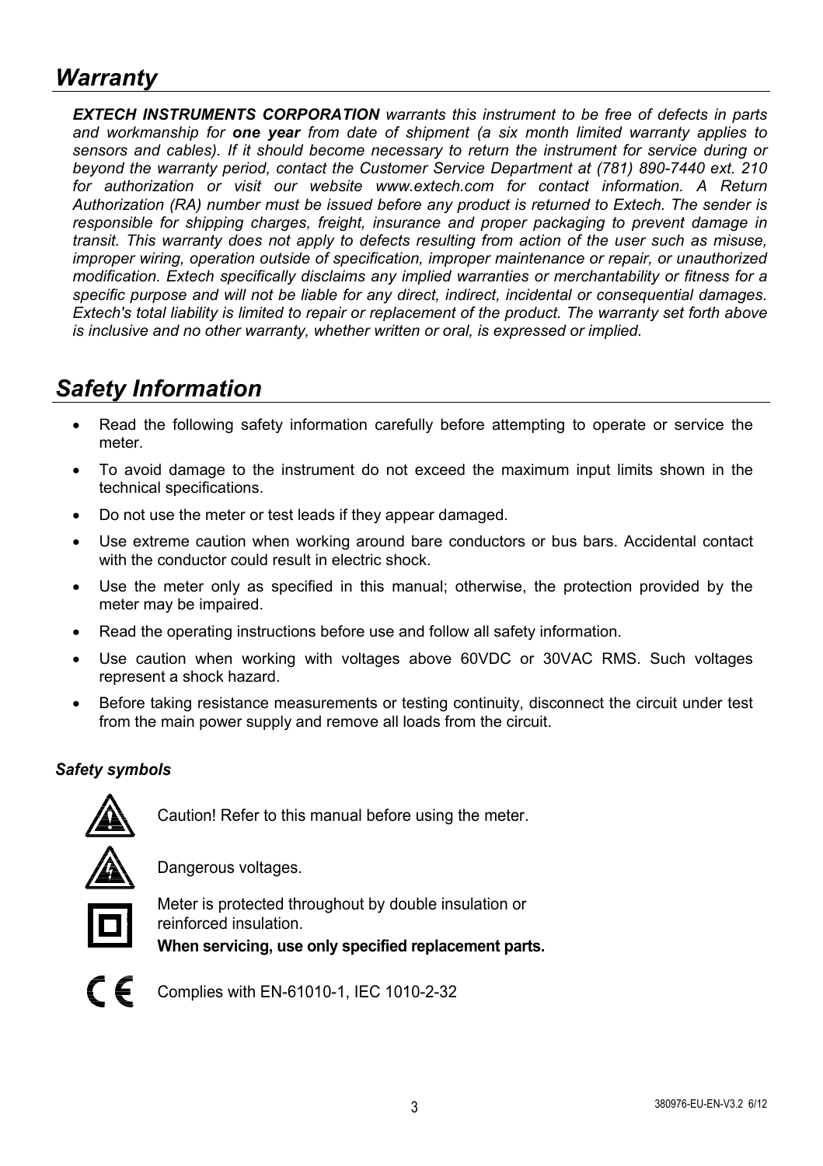## *Warranty*

*EXTECH INSTRUMENTS CORPORATION warrants this instrument to be free of defects in parts and workmanship for one year from date of shipment (a six month limited warranty applies to sensors and cables). If it should become necessary to return the instrument for service during or beyond the warranty period, contact the Customer Service Department at (781) 890-7440 ext. 210 for authorization or visit our website www.extech.com for contact information. A Return Authorization (RA) number must be issued before any product is returned to Extech. The sender is responsible for shipping charges, freight, insurance and proper packaging to prevent damage in transit. This warranty does not apply to defects resulting from action of the user such as misuse, improper wiring, operation outside of specification, improper maintenance or repair, or unauthorized modification. Extech specifically disclaims any implied warranties or merchantability or fitness for a specific purpose and will not be liable for any direct, indirect, incidental or consequential damages. Extech's total liability is limited to repair or replacement of the product. The warranty set forth above is inclusive and no other warranty, whether written or oral, is expressed or implied.* 

## *Safety Information*

- Read the following safety information carefully before attempting to operate or service the meter.
- To avoid damage to the instrument do not exceed the maximum input limits shown in the technical specifications.
- Do not use the meter or test leads if they appear damaged.
- Use extreme caution when working around bare conductors or bus bars. Accidental contact with the conductor could result in electric shock.
- Use the meter only as specified in this manual; otherwise, the protection provided by the meter may be impaired.
- Read the operating instructions before use and follow all safety information.
- Use caution when working with voltages above 60VDC or 30VAC RMS. Such voltages represent a shock hazard.
- Before taking resistance measurements or testing continuity, disconnect the circuit under test from the main power supply and remove all loads from the circuit.

## *Safety symbols*



Caution! Refer to this manual before using the meter.



Dangerous voltages.



Meter is protected throughout by double insulation or reinforced insulation.

**When servicing, use only specified replacement parts.**



Complies with EN-61010-1, IEC 1010-2-32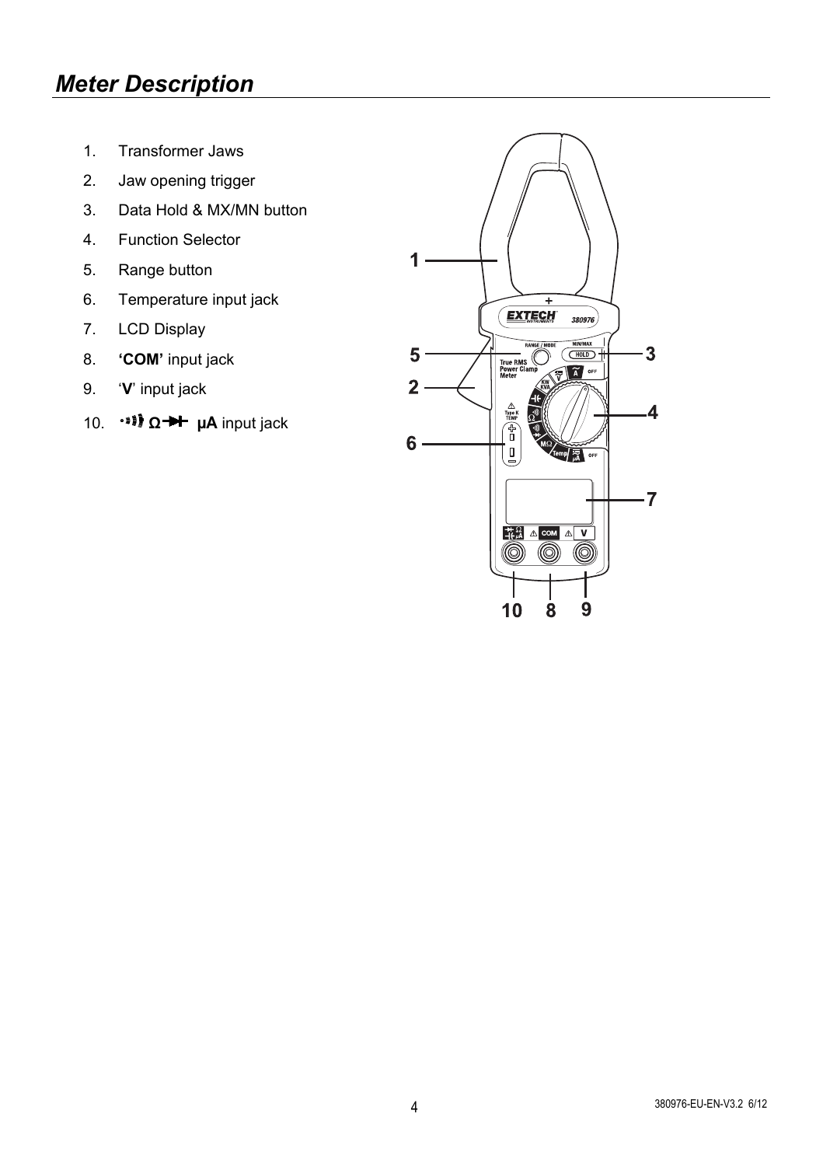## *Meter Description*

- 1. Transformer Jaws
- 2. Jaw opening trigger
- 3. Data Hold & MX/MN button
- 4. Function Selector
- 5. Range button
- 6. Temperature input jack
- 7. LCD Display
- 8. **'COM'** input jack
- 9. '**V**' input jack
- 10. **11** Ω → μA input jack

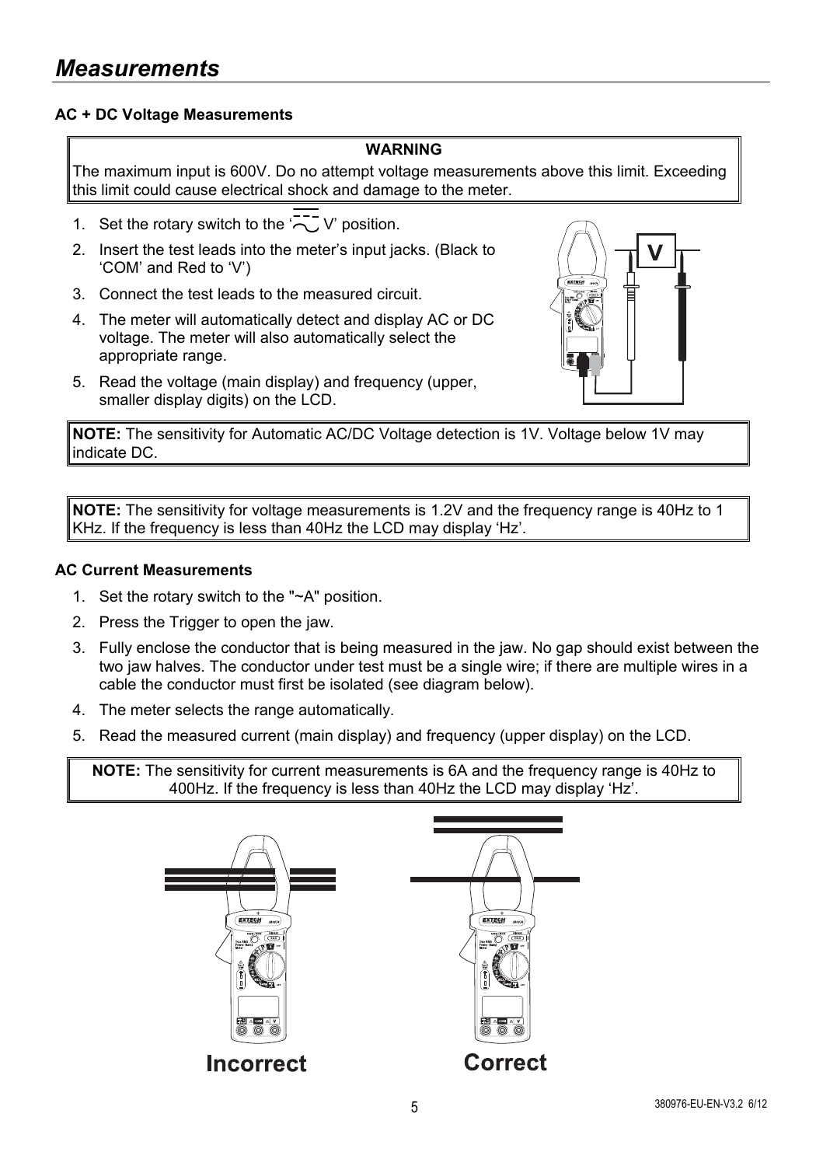#### **AC + DC Voltage Measurements**

#### **WARNING**

The maximum input is 600V. Do no attempt voltage measurements above this limit. Exceeding this limit could cause electrical shock and damage to the meter.

- 1. Set the rotary switch to the  $\overline{2}$  V' position.
- 2. Insert the test leads into the meter's input jacks. (Black to 'COM' and Red to 'V')
- 3. Connect the test leads to the measured circuit.
- 4. The meter will automatically detect and display AC or DC voltage. The meter will also automatically select the appropriate range.
- 5. Read the voltage (main display) and frequency (upper, smaller display digits) on the LCD.



**NOTE:** The sensitivity for Automatic AC/DC Voltage detection is 1V. Voltage below 1V may indicate DC.

**NOTE:** The sensitivity for voltage measurements is 1.2V and the frequency range is 40Hz to 1 KHz. If the frequency is less than 40Hz the LCD may display 'Hz'.

#### **AC Current Measurements**

- 1. Set the rotary switch to the "~A" position.
- 2. Press the Trigger to open the jaw.
- 3. Fully enclose the conductor that is being measured in the jaw. No gap should exist between the two jaw halves. The conductor under test must be a single wire; if there are multiple wires in a cable the conductor must first be isolated (see diagram below).
- 4. The meter selects the range automatically.
- 5. Read the measured current (main display) and frequency (upper display) on the LCD.

**NOTE:** The sensitivity for current measurements is 6A and the frequency range is 40Hz to 400Hz. If the frequency is less than 40Hz the LCD may display 'Hz'.

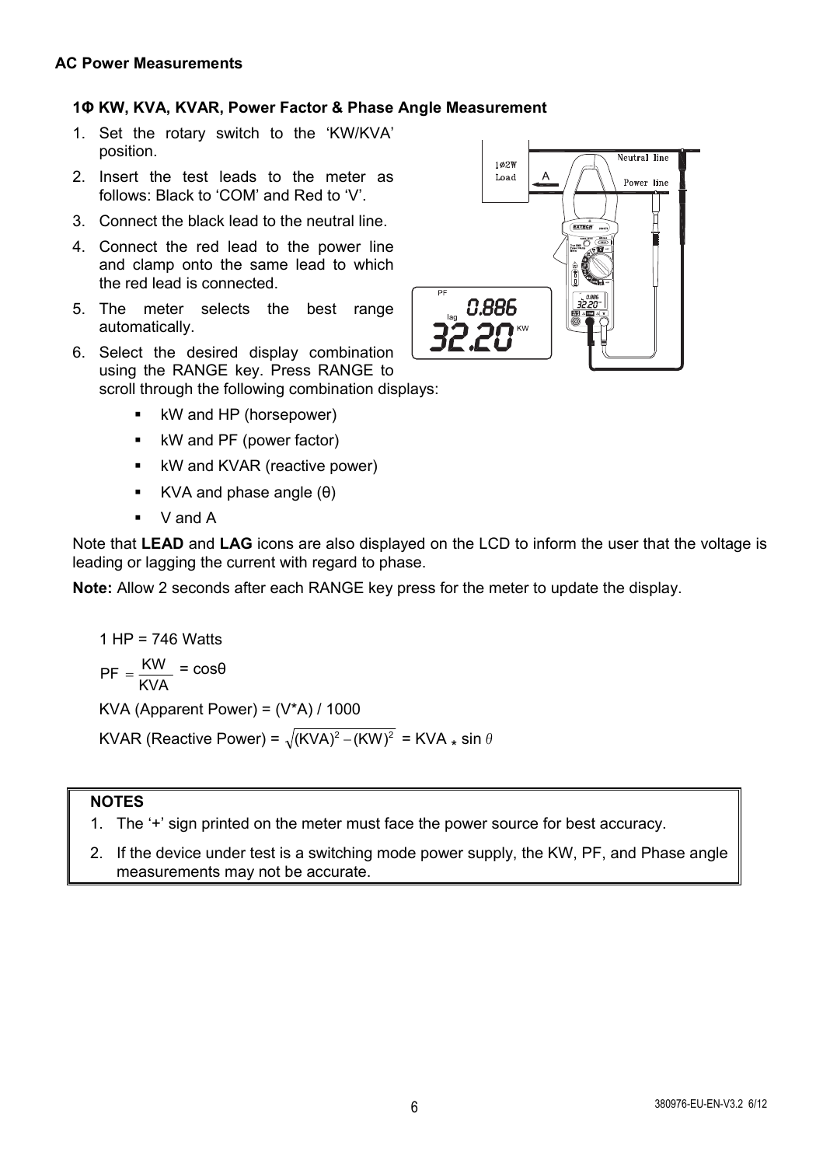## **1Φ KW, KVA, KVAR, Power Factor & Phase Angle Measurement**

- 1. Set the rotary switch to the 'KW/KVA' position.
- 2. Insert the test leads to the meter as follows: Black to 'COM' and Red to 'V'.
- 3. Connect the black lead to the neutral line.
- 4. Connect the red lead to the power line and clamp onto the same lead to which the red lead is connected.
- 5. The meter selects the best range automatically.
- 6. Select the desired display combination using the RANGE key. Press RANGE to scroll through the following combination displays:
	- kW and HP (horsepower)
	- kW and PF (power factor)
	- **KW** and KVAR (reactive power)
	- KVA and phase angle  $(\theta)$
	- $V$  and  $A$

Note that **LEAD** and **LAG** icons are also displayed on the LCD to inform the user that the voltage is leading or lagging the current with regard to phase.

**Note:** Allow 2 seconds after each RANGE key press for the meter to update the display.

1 HP = 746 Watts  $PF = \frac{KW}{KVA} = \cos\theta$ KVA (Apparent Power) =  $(V^*A) / 1000$ 

KVAR (Reactive Power) =  $\sqrt{(KVA)^2 - (KW)^2}$  = KVA  $*$  sin  $\theta$ 

#### **NOTES**

- 1. The '+' sign printed on the meter must face the power source for best accuracy.
- 2. If the device under test is a switching mode power supply, the KW, PF, and Phase angle measurements may not be accurate.

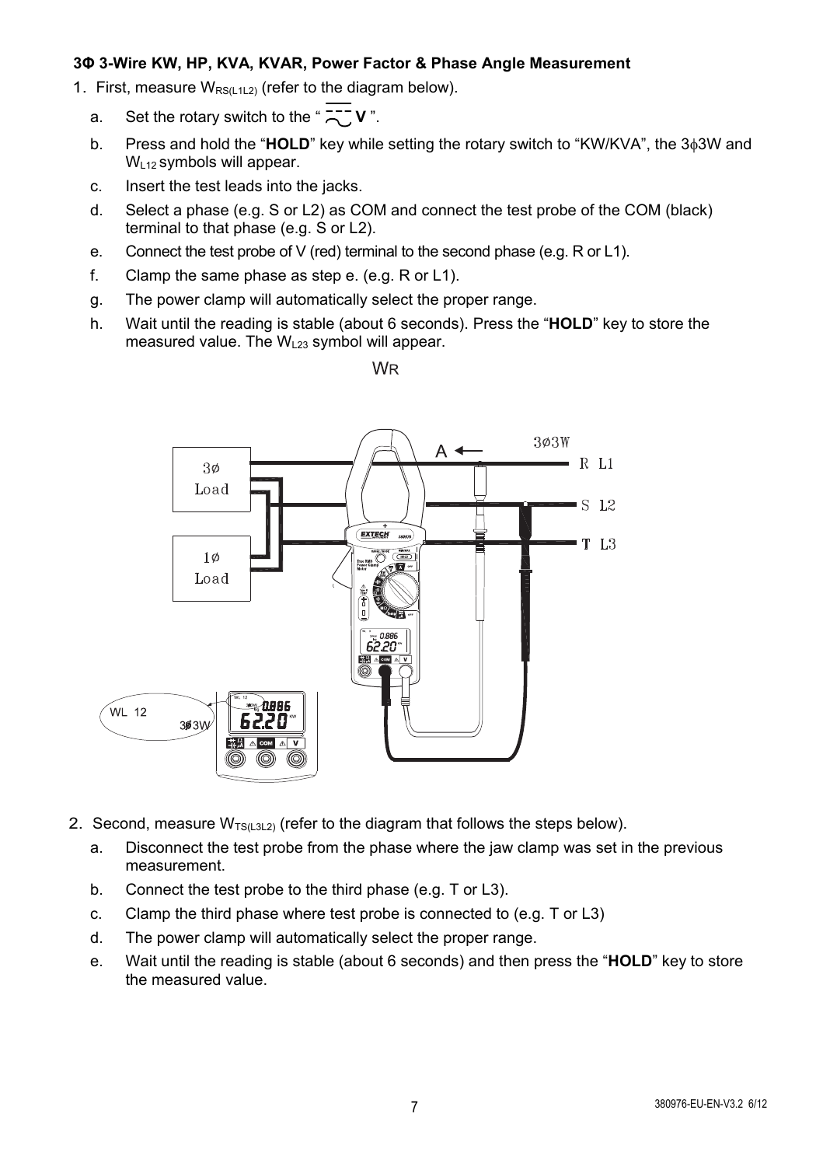#### **3Φ 3-Wire KW, HP, KVA, KVAR, Power Factor & Phase Angle Measurement**

- 1. First, measure  $W_{RS(112)}$  (refer to the diagram below).
	- a. Set the rotary switch to the " $\frac{1}{2}$  V".
	- b. Press and hold the "**HOLD**" key while setting the rotary switch to "KW/KVA", the 3<sub>0</sub>3W and  $W<sub>L12</sub>$  symbols will appear.
	- c. Insert the test leads into the jacks.
	- d. Select a phase (e.g. S or L2) as COM and connect the test probe of the COM (black) terminal to that phase (e.g. S or L2).
	- e. Connect the test probe of V (red) terminal to the second phase (e.g. R or L1).
	- f. Clamp the same phase as step e. (e.g. R or L1).
	- g. The power clamp will automatically select the proper range.
	- h. Wait until the reading is stable (about 6 seconds). Press the "**HOLD**" key to store the measured value. The  $W_{123}$  symbol will appear.





- 2. Second, measure  $W_{TS(L3L2)}$  (refer to the diagram that follows the steps below).
	- a. Disconnect the test probe from the phase where the jaw clamp was set in the previous measurement.
	- b. Connect the test probe to the third phase (e.g. T or L3).
	- c. Clamp the third phase where test probe is connected to (e.g. T or L3)
	- d. The power clamp will automatically select the proper range.
	- e. Wait until the reading is stable (about 6 seconds) and then press the "**HOLD**" key to store the measured value.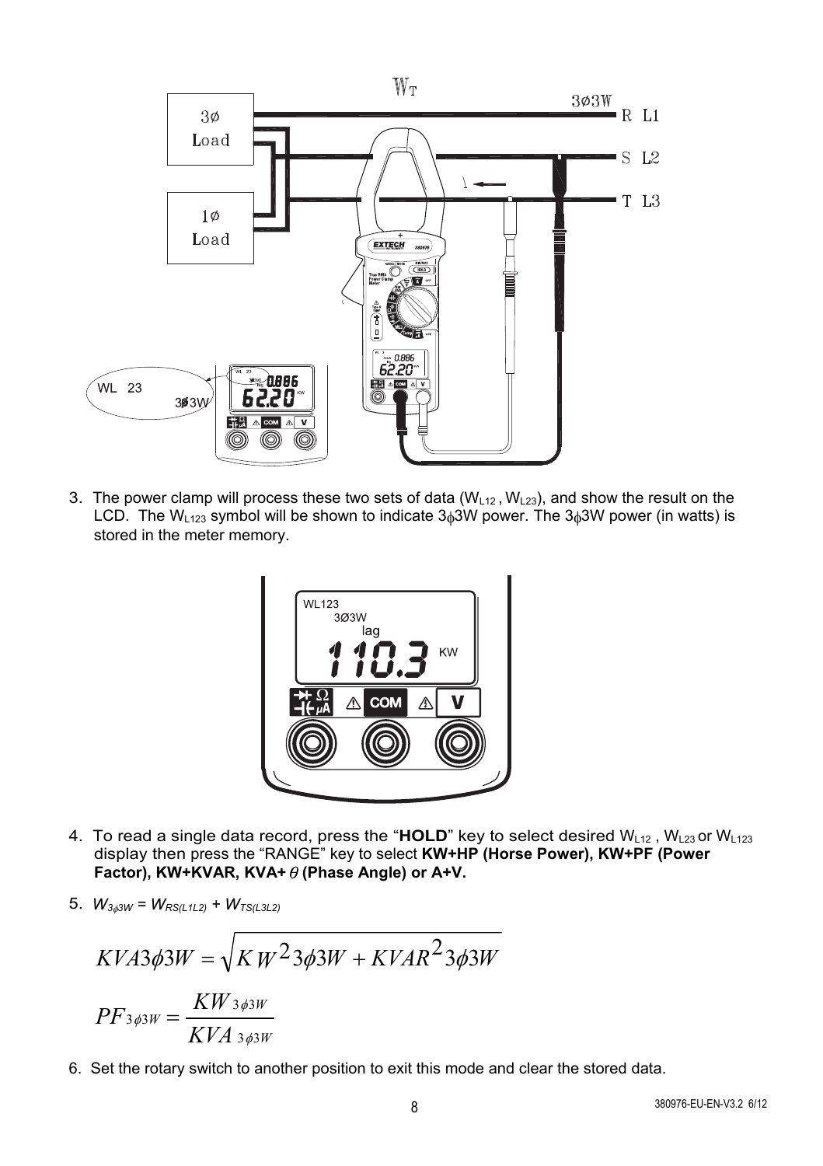

3. The power clamp will process these two sets of data  $(W<sub>L12</sub>, W<sub>L23</sub>)$ , and show the result on the LCD. The W<sub>123</sub> symbol will be shown to indicate  $3<sub>0</sub>3W$  power. The  $3<sub>0</sub>3W$  power (in watts) is stored in the meter memory.



- 4. To read a single data record, press the "HOLD" key to select desired  $W_{L12}$ ,  $W_{L23}$  or  $W_{L123}$ display then press the "RANGE" key to select **KW+HP (Horse Power), KW+PF (Power Factor), KW+KVAR, KVA+**θ**(Phase Angle) or A+V.**
- 5.  $W_{3,63W} = W_{RS(L1L2)} + W_{TS(L3L2)}$

$$
KVA3\phi 3W = \sqrt{K W^2 3\phi 3W + KVAR^2 3\phi 3W}
$$

$$
PF_{3\phi 3W} = \frac{KW_{3\phi 3W}}{KVA_{3\phi 3W}}
$$

6. Set the rotary switch to another position to exit this mode and clear the stored data.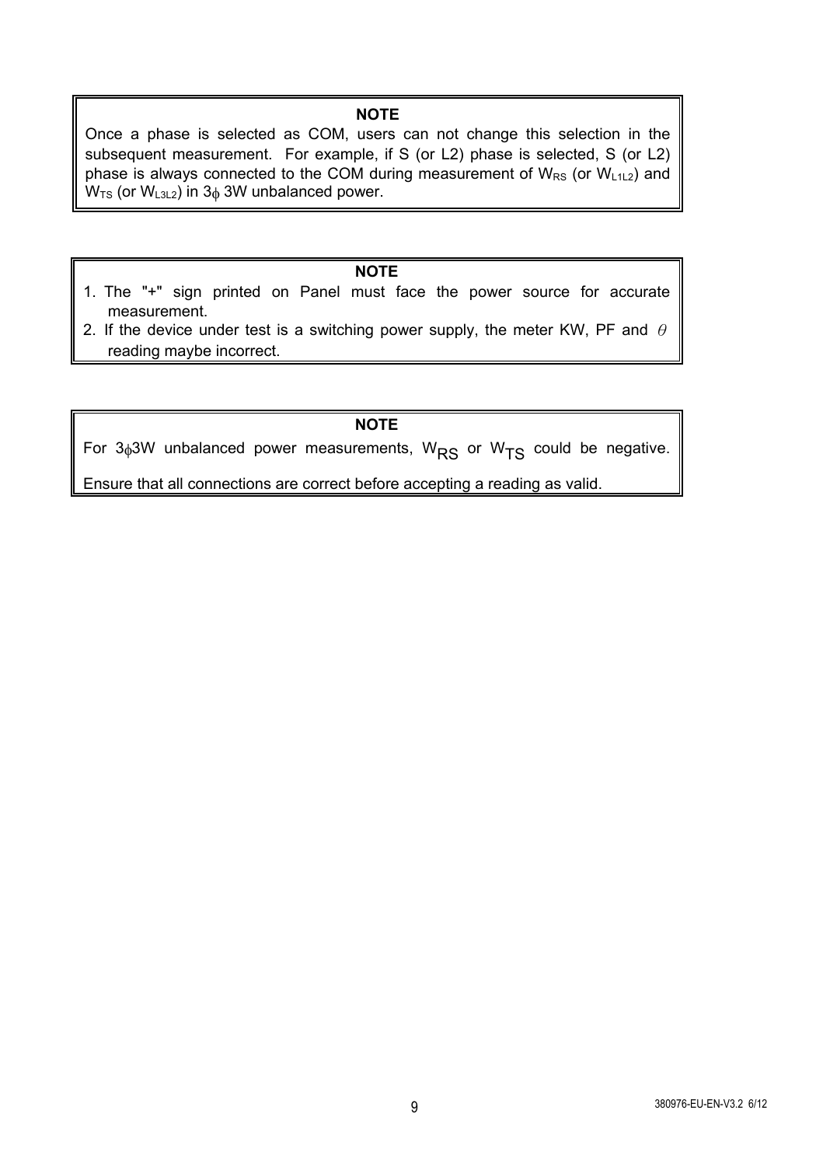#### **NOTE**

Once a phase is selected as COM, users can not change this selection in the subsequent measurement. For example, if S (or L2) phase is selected, S (or L2) phase is always connected to the COM during measurement of  $W_{RS}$  (or  $W_{112}$ ) and  $W_{TS}$  (or  $W_{L3L2}$ ) in 3 $_{\phi}$  3W unbalanced power.

## **NOTE**

- 1. The "+" sign printed on Panel must face the power source for accurate measurement.
- 2. If the device under test is a switching power supply, the meter KW, PF and  $\theta$ reading maybe incorrect.

#### **NOTE**

For  $3\phi$ 3W unbalanced power measurements, W<sub>RS</sub> or W<sub>TS</sub> could be negative.

Ensure that all connections are correct before accepting a reading as valid.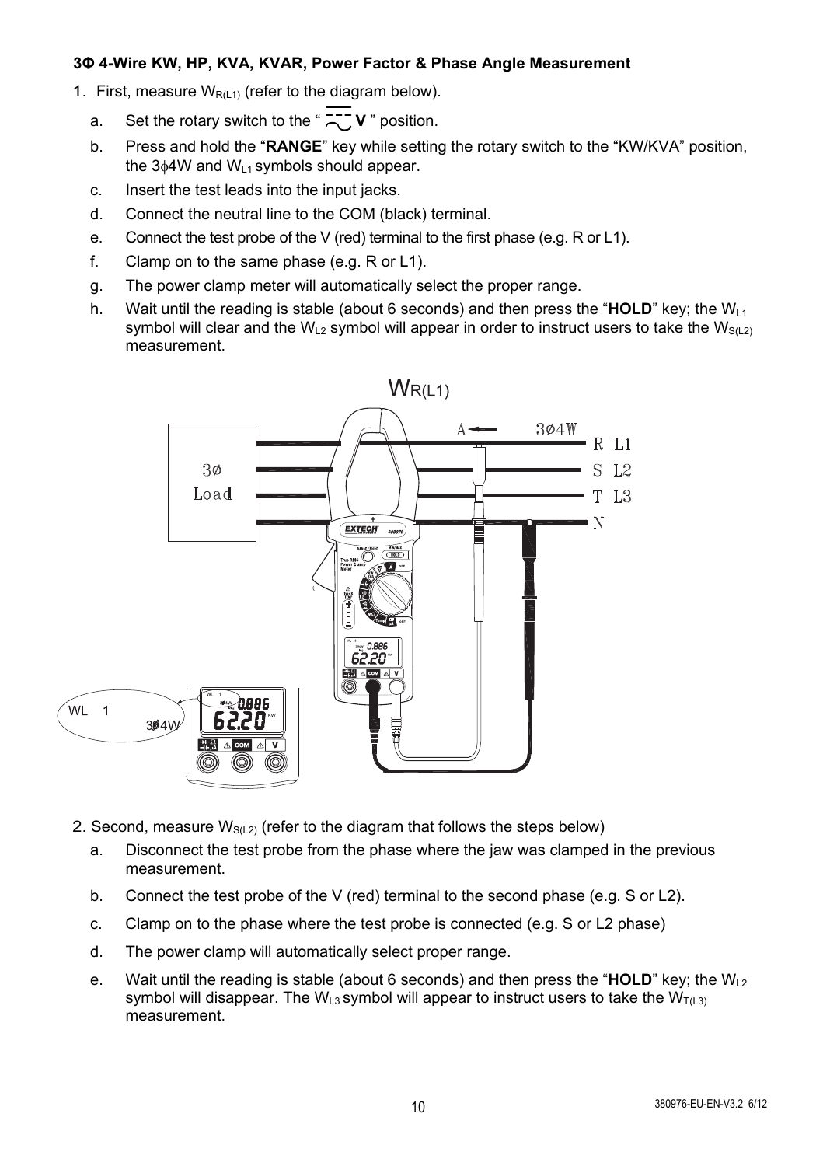#### **3Φ 4-Wire KW, HP, KVA, KVAR, Power Factor & Phase Angle Measurement**

- 1. First, measure  $W<sub>R(1,1)</sub>$  (refer to the diagram below).
	- a. Set the rotary switch to the " $\frac{2}{\sqrt{2}}$  **v** " position.
	- b. Press and hold the "**RANGE**" key while setting the rotary switch to the "KW/KVA" position, the  $3\phi4W$  and  $W_{L1}$  symbols should appear.
	- c. Insert the test leads into the input jacks.
	- d. Connect the neutral line to the COM (black) terminal.
	- e. Connect the test probe of the V (red) terminal to the first phase (e.g. R or L1).
	- f. Clamp on to the same phase (e.g. R or L1).
	- g. The power clamp meter will automatically select the proper range.
	- h. Wait until the reading is stable (about 6 seconds) and then press the "**HOLD**" key; the  $W_{11}$ symbol will clear and the W<sub>L2</sub> symbol will appear in order to instruct users to take the W<sub>S(L2)</sub> measurement.



- 2. Second, measure  $W_{S(1,2)}$  (refer to the diagram that follows the steps below)
	- a. Disconnect the test probe from the phase where the jaw was clamped in the previous measurement.
	- b. Connect the test probe of the V (red) terminal to the second phase (e.g. S or L2).
	- c. Clamp on to the phase where the test probe is connected (e.g. S or L2 phase)
	- d. The power clamp will automatically select proper range.
	- e. Wait until the reading is stable (about 6 seconds) and then press the "**HOLD**" key; the WL2 symbol will disappear. The W<sub>L3</sub> symbol will appear to instruct users to take the W<sub>T(L3)</sub> measurement.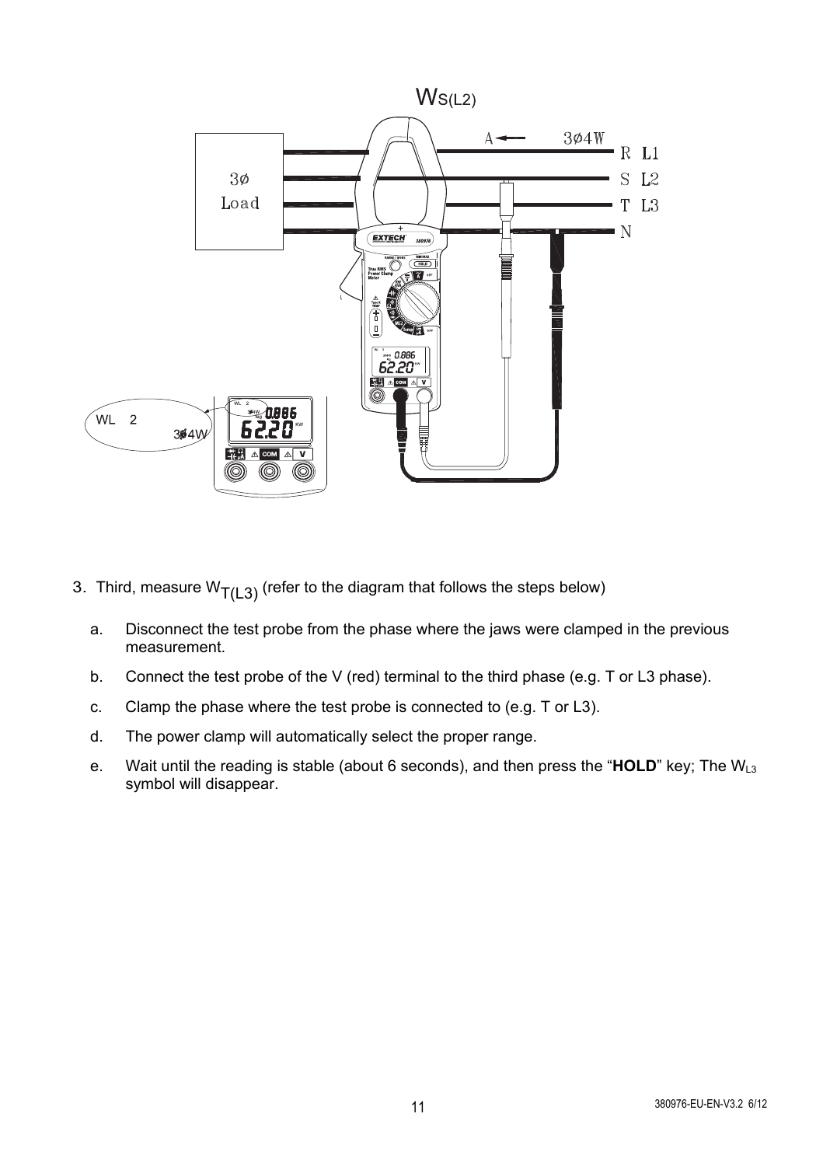

- 3. Third, measure  $W_{T(L3)}$  (refer to the diagram that follows the steps below)
	- a. Disconnect the test probe from the phase where the jaws were clamped in the previous measurement.
	- b. Connect the test probe of the V (red) terminal to the third phase (e.g. T or L3 phase).
	- c. Clamp the phase where the test probe is connected to (e.g. T or L3).
	- d. The power clamp will automatically select the proper range.
	- e. Wait until the reading is stable (about 6 seconds), and then press the "**HOLD**" key; The WL3 symbol will disappear.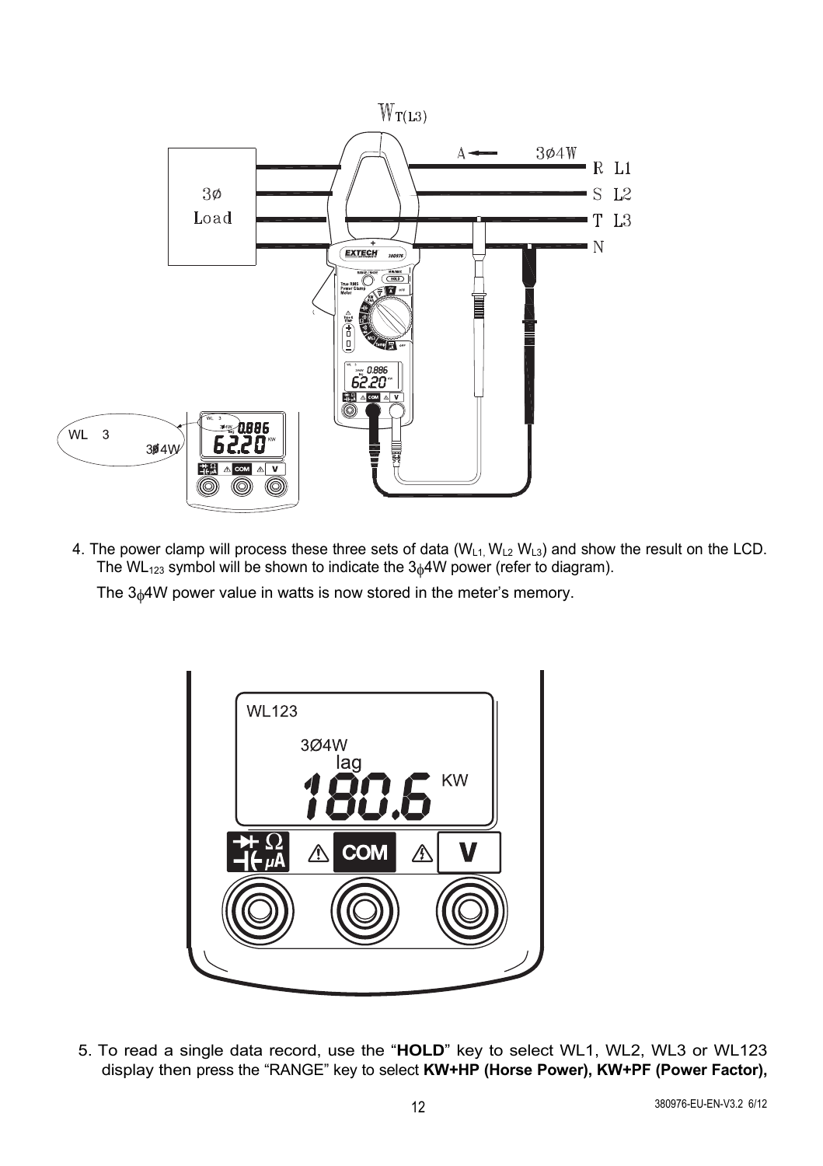

4. The power clamp will process these three sets of data  $(W_{L1}, W_{L2}, W_{L3})$  and show the result on the LCD. The WL<sub>123</sub> symbol will be shown to indicate the  $3<sub>0</sub>4W$  power (refer to diagram).

The 3<sup>4</sup>W power value in watts is now stored in the meter's memory.



5. To read a single data record, use the "**HOLD**" key to select WL1, WL2, WL3 or WL123 display then press the "RANGE" key to select **KW+HP (Horse Power), KW+PF (Power Factor),**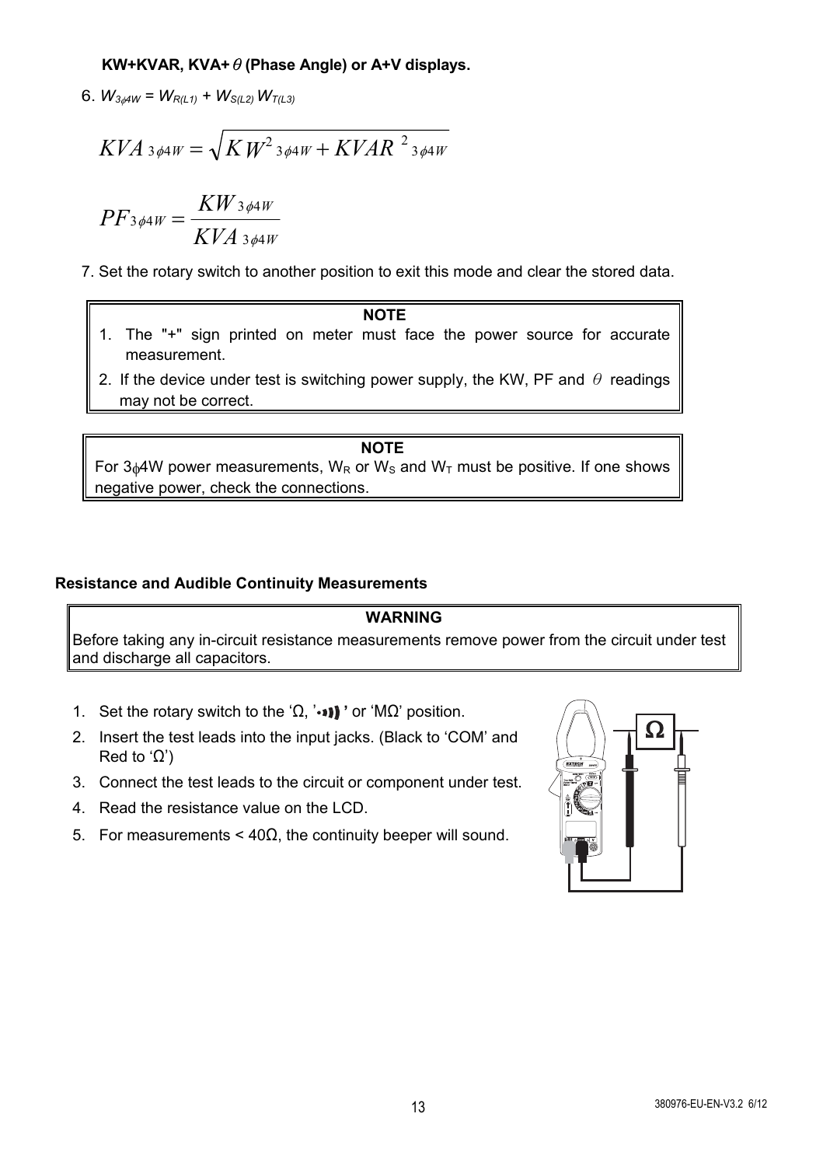## **KW+KVAR, KVA+**θ**(Phase Angle) or A+V displays.**

6.  $W_{3,4W} = W_{R(L1)} + W_{S(L2)} W_{T(L3)}$ 

$$
KVA_{3\phi 4W} = \sqrt{KW^2_{3\phi 4W} + KVAR^2_{3\phi 4W}}
$$

$$
PF_{3\phi 4W} = \frac{KW_{3\phi 4W}}{KVA_{3\phi 4W}}
$$

- 7. Set the rotary switch to another position to exit this mode and clear the stored data.
	- **NOTE** 1. The "+" sign printed on meter must face the power source for accurate measurement.
	- 2. If the device under test is switching power supply, the KW, PF and  $\theta$  readings may not be correct.

**NOTE** For  $3_04W$  power measurements,  $W_R$  or  $W_S$  and  $W_T$  must be positive. If one shows negative power, check the connections.

#### **Resistance and Audible Continuity Measurements**

#### **WARNING**

Before taking any in-circuit resistance measurements remove power from the circuit under test and discharge all capacitors.

- 1. Set the rotary switch to the 'Ω, '••I'' or 'MΩ' position.
- 2. Insert the test leads into the input jacks. (Black to 'COM' and Red to 'Ω')
- 3. Connect the test leads to the circuit or component under test.
- 4. Read the resistance value on the LCD.
- 5. For measurements < 40Ω, the continuity beeper will sound.

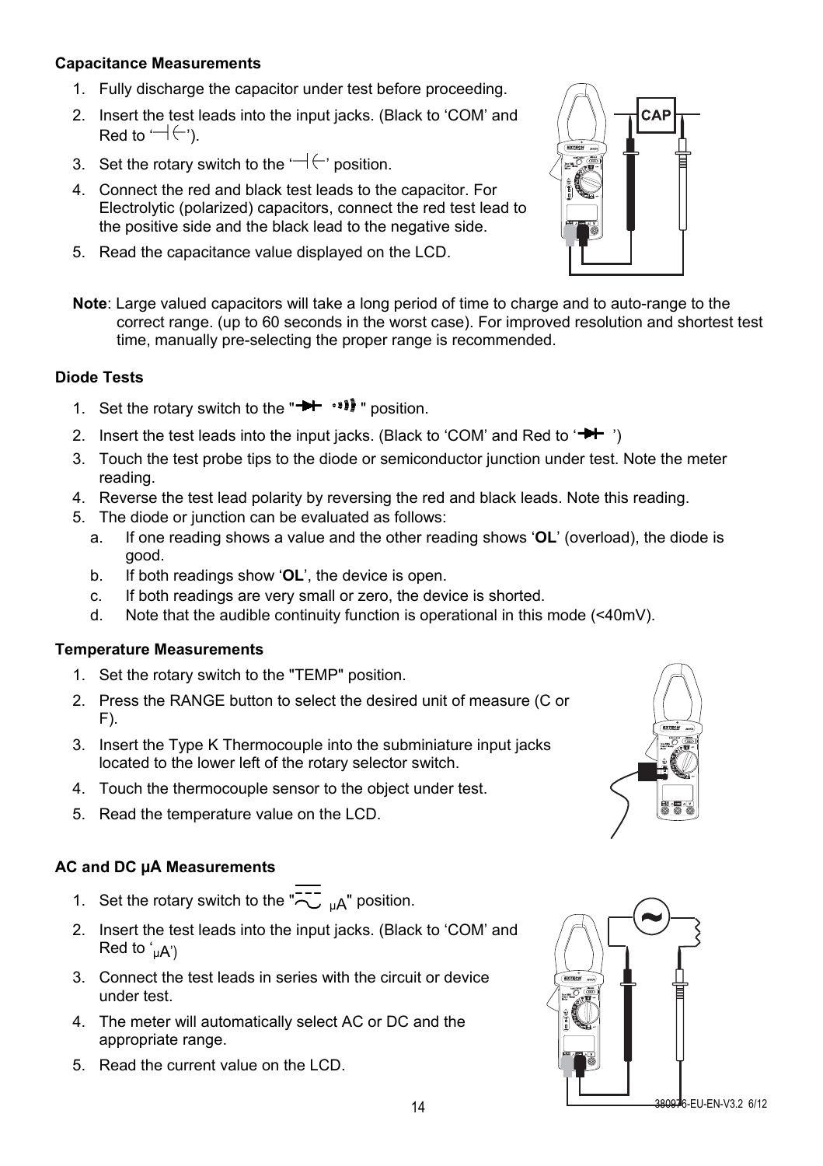#### **Capacitance Measurements**

- 1. Fully discharge the capacitor under test before proceeding.
- 2. Insert the test leads into the input jacks. (Black to 'COM' and Red to  $\leftarrow \leftarrow$ ').
- 3. Set the rotary switch to the  $\Box(\leftrightarrow)$  position.
- 4. Connect the red and black test leads to the capacitor. For Electrolytic (polarized) capacitors, connect the red test lead to the positive side and the black lead to the negative side.
- 5. Read the capacitance value displayed on the LCD.



**Note**: Large valued capacitors will take a long period of time to charge and to auto-range to the correct range. (up to 60 seconds in the worst case). For improved resolution and shortest test time, manually pre-selecting the proper range is recommended.

#### **Diode Tests**

- 1. Set the rotary switch to the " " position.
- 2. Insert the test leads into the input jacks. (Black to 'COM' and Red to  $\overrightarrow{H}$  ')
- 3. Touch the test probe tips to the diode or semiconductor junction under test. Note the meter reading.
- 4. Reverse the test lead polarity by reversing the red and black leads. Note this reading.
- 5. The diode or junction can be evaluated as follows:
	- a. If one reading shows a value and the other reading shows '**OL**' (overload), the diode is good.
	- b. If both readings show '**OL**', the device is open.
	- c. If both readings are very small or zero, the device is shorted.
	- d. Note that the audible continuity function is operational in this mode (<40mV).

#### **Temperature Measurements**

- 1. Set the rotary switch to the "TEMP" position.
- 2. Press the RANGE button to select the desired unit of measure (C or F).
- 3. Insert the Type K Thermocouple into the subminiature input jacks located to the lower left of the rotary selector switch.
- 4. Touch the thermocouple sensor to the object under test.
- 5. Read the temperature value on the LCD.

#### **AC and DC µA Measurements**

- 1. Set the rotary switch to the  $\overline{2}$   $\overline{1}$   $\overline{1}$  position.
- 2. Insert the test leads into the input jacks. (Black to 'COM' and Red to  $'_{u}A'$
- 3. Connect the test leads in series with the circuit or device under test.
- 4. The meter will automatically select AC or DC and the appropriate range.
- 5. Read the current value on the LCD.



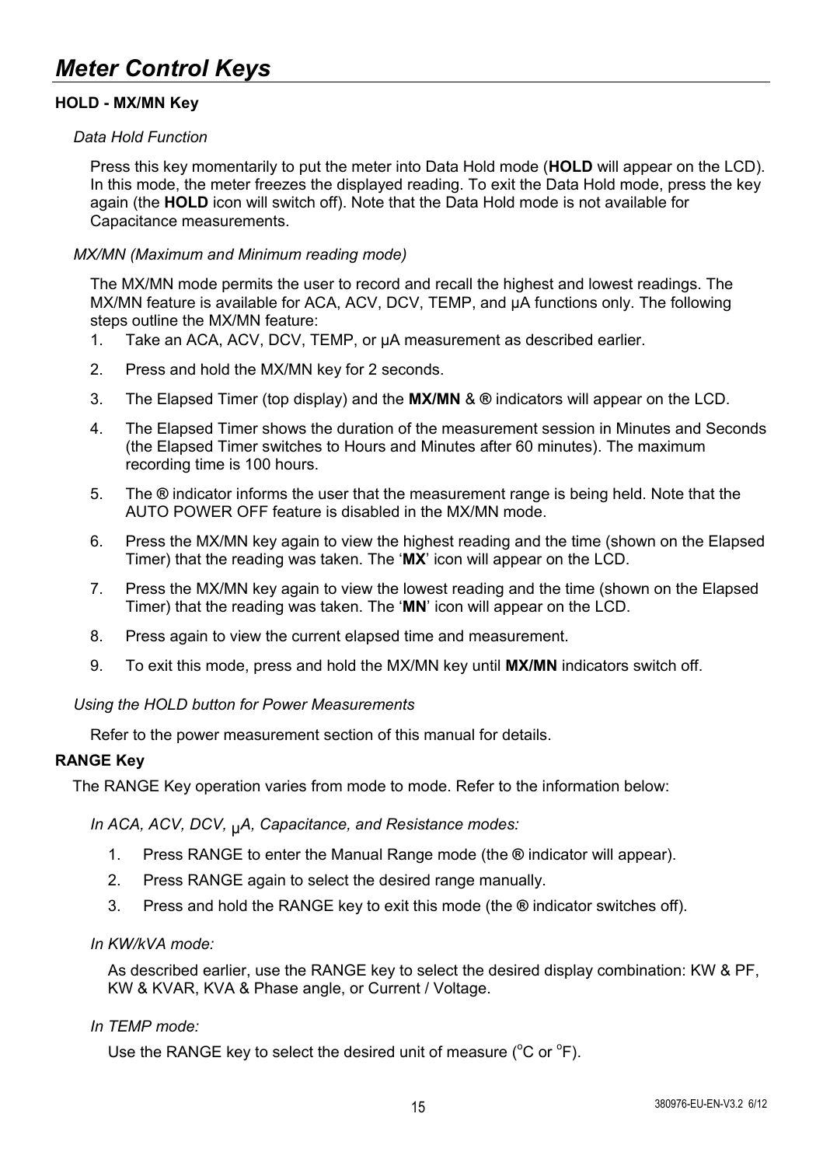## **HOLD - MX/MN Key**

#### *Data Hold Function*

Press this key momentarily to put the meter into Data Hold mode (**HOLD** will appear on the LCD). In this mode, the meter freezes the displayed reading. To exit the Data Hold mode, press the key again (the **HOLD** icon will switch off). Note that the Data Hold mode is not available for Capacitance measurements.

#### *MX/MN (Maximum and Minimum reading mode)*

The MX/MN mode permits the user to record and recall the highest and lowest readings. The MX/MN feature is available for ACA, ACV, DCV, TEMP, and µA functions only. The following steps outline the MX/MN feature:

- 1. Take an ACA, ACV, DCV, TEMP, or µA measurement as described earlier.
- 2. Press and hold the MX/MN key for 2 seconds.
- 3. The Elapsed Timer (top display) and the **MX/MN** & **®** indicators will appear on the LCD.
- 4. The Elapsed Timer shows the duration of the measurement session in Minutes and Seconds (the Elapsed Timer switches to Hours and Minutes after 60 minutes). The maximum recording time is 100 hours.
- 5. The **®** indicator informs the user that the measurement range is being held. Note that the AUTO POWER OFF feature is disabled in the MX/MN mode.
- 6. Press the MX/MN key again to view the highest reading and the time (shown on the Elapsed Timer) that the reading was taken. The '**MX**' icon will appear on the LCD.
- 7. Press the MX/MN key again to view the lowest reading and the time (shown on the Elapsed Timer) that the reading was taken. The '**MN**' icon will appear on the LCD.
- 8. Press again to view the current elapsed time and measurement.
- 9. To exit this mode, press and hold the MX/MN key until **MX/MN** indicators switch off.

#### *Using the HOLD button for Power Measurements*

Refer to the power measurement section of this manual for details.

#### **RANGE Key**

The RANGE Key operation varies from mode to mode. Refer to the information below:

*In ACA, ACV, DCV,* µ*A, Capacitance, and Resistance modes:* 

- 1. Press RANGE to enter the Manual Range mode (the **®** indicator will appear).
- 2. Press RANGE again to select the desired range manually.
- 3. Press and hold the RANGE key to exit this mode (the **®** indicator switches off).

#### *In KW/kVA mode:*

As described earlier, use the RANGE key to select the desired display combination: KW & PF, KW & KVAR, KVA & Phase angle, or Current / Voltage.

## *In TEMP mode:*

Use the RANGE key to select the desired unit of measure ( $^{\circ}$ C or  $^{\circ}$ F).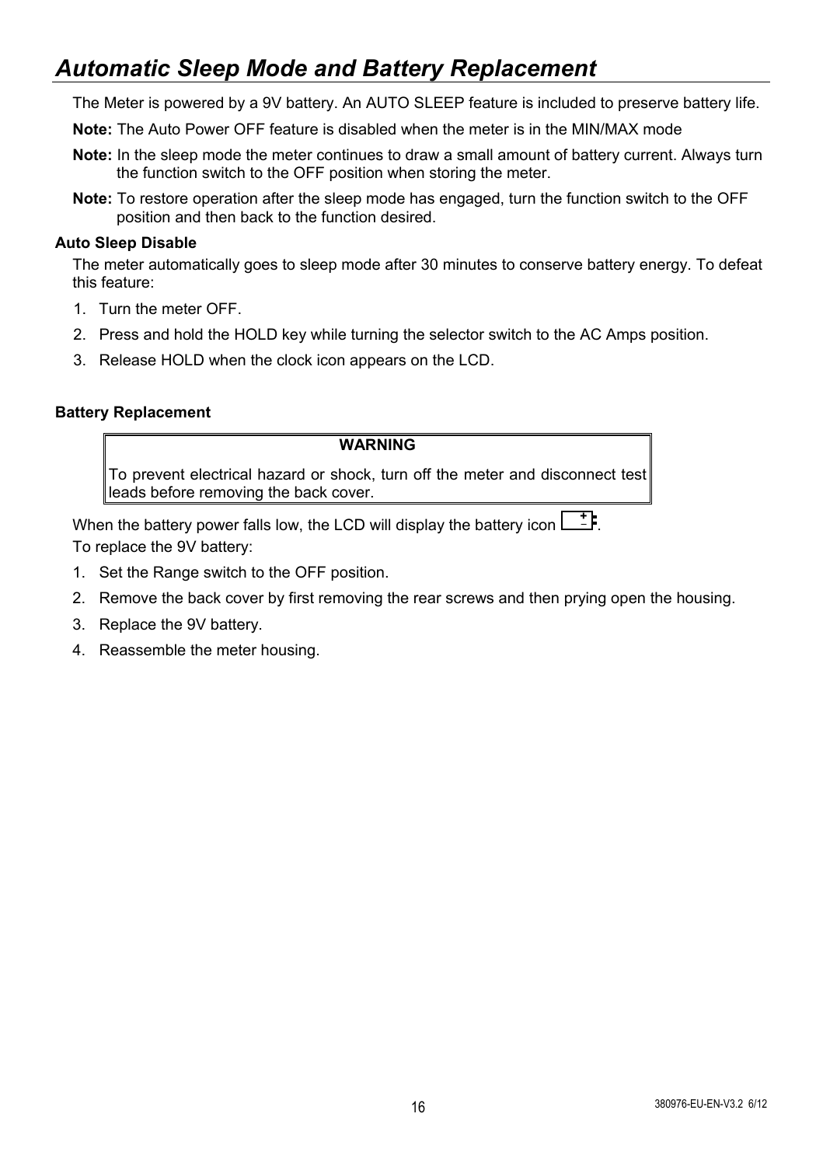## *Automatic Sleep Mode and Battery Replacement*

The Meter is powered by a 9V battery. An AUTO SLEEP feature is included to preserve battery life.

**Note:** The Auto Power OFF feature is disabled when the meter is in the MIN/MAX mode

- **Note:** In the sleep mode the meter continues to draw a small amount of battery current. Always turn the function switch to the OFF position when storing the meter.
- **Note:** To restore operation after the sleep mode has engaged, turn the function switch to the OFF position and then back to the function desired.

#### **Auto Sleep Disable**

The meter automatically goes to sleep mode after 30 minutes to conserve battery energy. To defeat this feature:

- 1. Turn the meter OFF.
- 2. Press and hold the HOLD key while turning the selector switch to the AC Amps position.
- 3. Release HOLD when the clock icon appears on the LCD.

#### **Battery Replacement**

#### **WARNING**

To prevent electrical hazard or shock, turn off the meter and disconnect test leads before removing the back cover.

When the battery power falls low, the LCD will display the battery icon  $\begin{bmatrix} + & - \end{bmatrix}$ . To replace the 9V battery:

- 1. Set the Range switch to the OFF position.
- 2. Remove the back cover by first removing the rear screws and then prying open the housing.
- 3. Replace the 9V battery.
- 4. Reassemble the meter housing.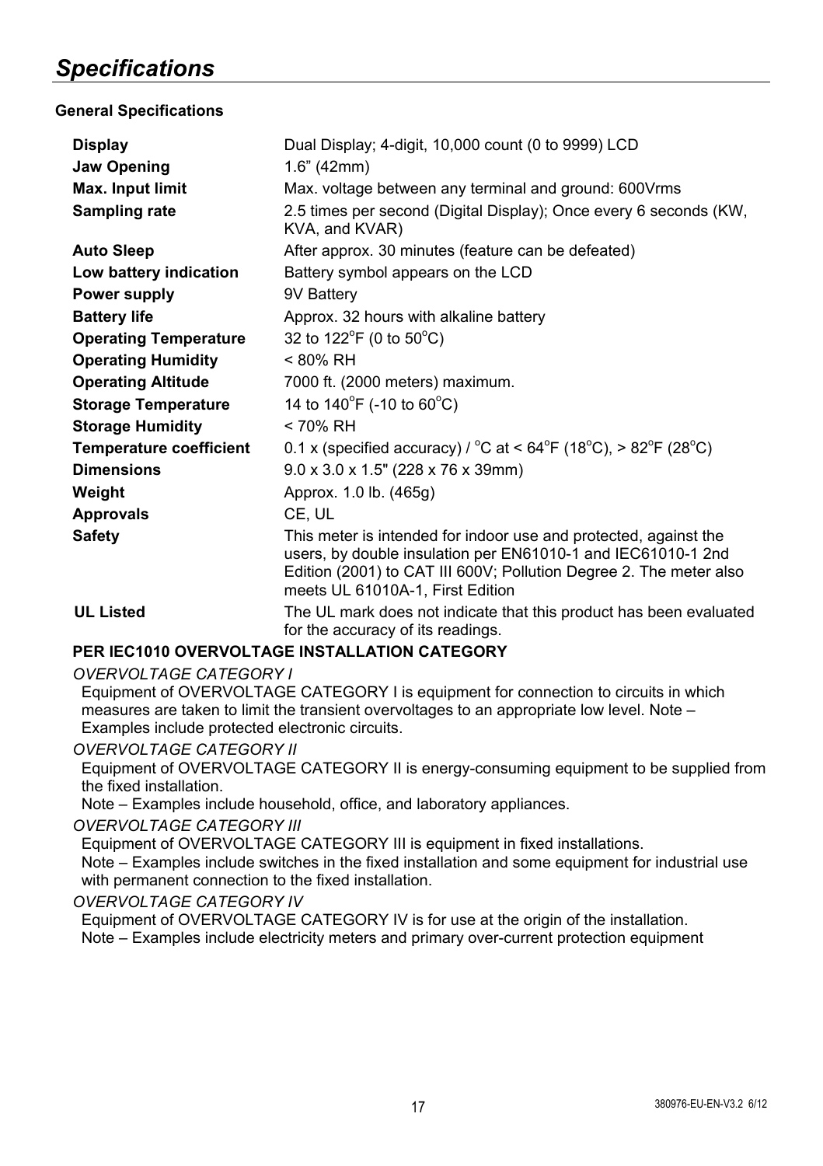## *Specifications*

## **General Specifications**

| <b>Display</b><br>Jaw Opening  | Dual Display: 4-digit, 10,000 count (0 to 9999) LCD<br>1.6" (42mm)                                                                                                                                                                         |
|--------------------------------|--------------------------------------------------------------------------------------------------------------------------------------------------------------------------------------------------------------------------------------------|
| Max. Input limit               | Max. voltage between any terminal and ground: 600 Vrms                                                                                                                                                                                     |
| Sampling rate                  | 2.5 times per second (Digital Display); Once every 6 seconds (KW,<br>KVA, and KVAR)                                                                                                                                                        |
| <b>Auto Sleep</b>              | After approx. 30 minutes (feature can be defeated)                                                                                                                                                                                         |
| Low battery indication         | Battery symbol appears on the LCD                                                                                                                                                                                                          |
| <b>Power supply</b>            | 9V Battery                                                                                                                                                                                                                                 |
| <b>Battery life</b>            | Approx. 32 hours with alkaline battery                                                                                                                                                                                                     |
| <b>Operating Temperature</b>   | 32 to 122 <sup>°</sup> F (0 to 50 <sup>°</sup> C)                                                                                                                                                                                          |
| <b>Operating Humidity</b>      | < 80% RH                                                                                                                                                                                                                                   |
| <b>Operating Altitude</b>      | 7000 ft. (2000 meters) maximum.                                                                                                                                                                                                            |
| <b>Storage Temperature</b>     | 14 to $140^{\circ}$ F (-10 to 60 $^{\circ}$ C)                                                                                                                                                                                             |
| <b>Storage Humidity</b>        | < 70% RH                                                                                                                                                                                                                                   |
| <b>Temperature coefficient</b> | 0.1 x (specified accuracy) / $^{\circ}$ C at < 64 $^{\circ}$ F (18 $^{\circ}$ C), > 82 $^{\circ}$ F (28 $^{\circ}$ C)                                                                                                                      |
| <b>Dimensions</b>              | $9.0 \times 3.0 \times 1.5$ " (228 x 76 x 39mm)                                                                                                                                                                                            |
| Weight                         | Approx. 1.0 lb. (465g)                                                                                                                                                                                                                     |
| <b>Approvals</b>               | CE, UL                                                                                                                                                                                                                                     |
| <b>Safety</b>                  | This meter is intended for indoor use and protected, against the<br>users, by double insulation per EN61010-1 and IEC61010-1 2nd<br>Edition (2001) to CAT III 600V; Pollution Degree 2. The meter also<br>meets UL 61010A-1, First Edition |
| <b>UL Listed</b>               | The UL mark does not indicate that this product has been evaluated<br>for the accuracy of its readings.                                                                                                                                    |

## **PER IEC1010 OVERVOLTAGE INSTALLATION CATEGORY**

#### *OVERVOLTAGE CATEGORY I*

Equipment of OVERVOLTAGE CATEGORY I is equipment for connection to circuits in which measures are taken to limit the transient overvoltages to an appropriate low level. Note – Examples include protected electronic circuits.

#### *OVERVOLTAGE CATEGORY II*

Equipment of OVERVOLTAGE CATEGORY II is energy-consuming equipment to be supplied from the fixed installation.

Note – Examples include household, office, and laboratory appliances.

#### *OVERVOLTAGE CATEGORY III*

Equipment of OVERVOLTAGE CATEGORY III is equipment in fixed installations.

Note – Examples include switches in the fixed installation and some equipment for industrial use with permanent connection to the fixed installation.

#### *OVERVOLTAGE CATEGORY IV*

Equipment of OVERVOLTAGE CATEGORY IV is for use at the origin of the installation. Note – Examples include electricity meters and primary over-current protection equipment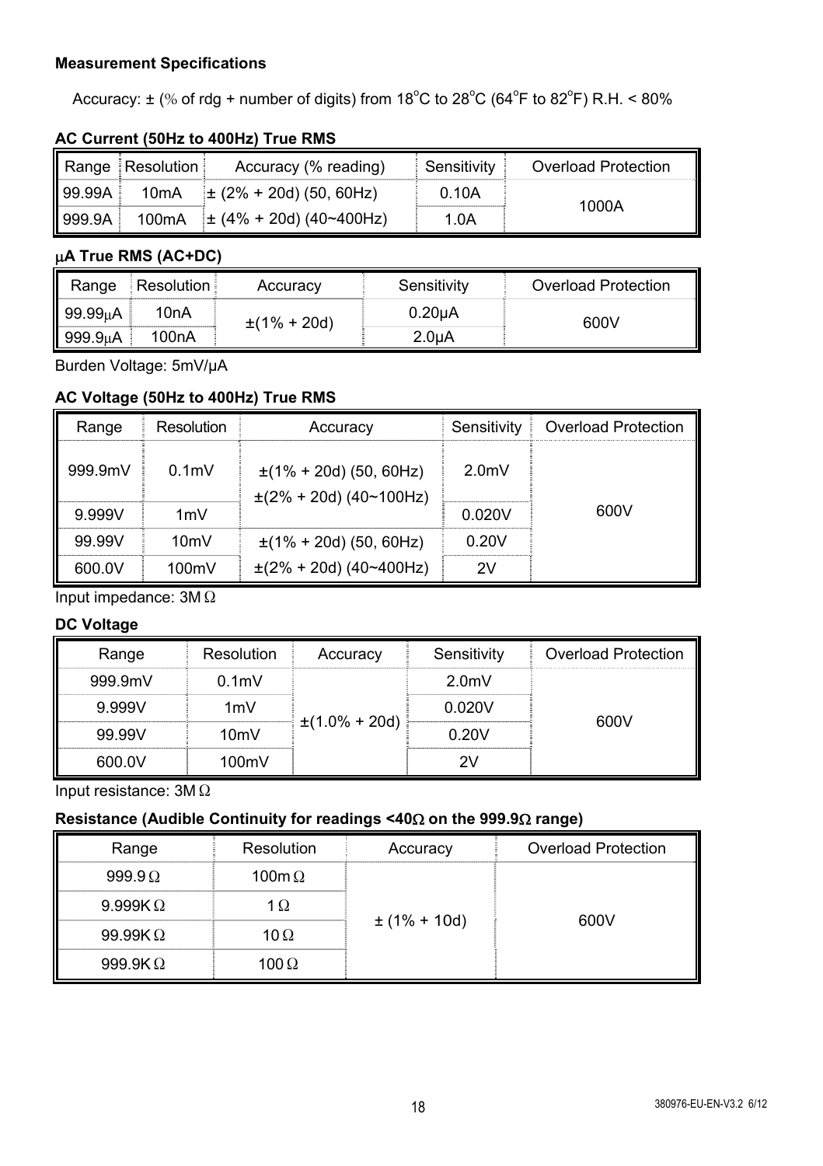## **Measurement Specifications**

Accuracy:  $\pm$  (% of rdg + number of digits) from 18°C to 28°C (64°F to 82°F) R.H. < 80%

### **AC Current (50Hz to 400Hz) True RMS**

|         | Range Resolution | Accuracy (% reading)              | ⊟ Sensitivit∨ | Overload Protection |
|---------|------------------|-----------------------------------|---------------|---------------------|
| 199.99A | 10mA             | $\pm$ (2% + 20d) (50, 60Hz)       | 0.10A         | 1000A               |
| 999.9A  |                  | 100mA $\pm$ (4% + 20d) (40~400Hz) | 1.0A          |                     |

## **A True RMS (AC+DC)**

| Range                | Resolution | Accuracv         | Sensitivity         | Overload Protection |
|----------------------|------------|------------------|---------------------|---------------------|
| 99.99uA              | 10nA       | $\pm$ (1% + 20d) | 0.20 <sub>µ</sub> A | 600V                |
| 999.9 <sub>u</sub> A | 100nA      |                  | 2.0 <sub>u</sub> A  |                     |

Burden Voltage: 5mV/µA

## **AC Voltage (50Hz to 400Hz) True RMS**

| Range   | Resolution       | Accuracy                                                   | Sensitivity      | <b>Overload Protection</b> |
|---------|------------------|------------------------------------------------------------|------------------|----------------------------|
| 999 9mV | 0.1 <sub>m</sub> | $\pm$ (1% + 20d) (50, 60Hz)<br>$\pm$ (2% + 20d) (40~100Hz) | 2.0 <sub>m</sub> |                            |
| 9 999V  | 1mV              |                                                            | 0.020V           | 600V                       |
| 99 99V  | 10 <sub>m</sub>  | $\pm$ (1% + 20d) (50, 60Hz)                                | 0.20V            |                            |
| 600.0V  | 100mV            | $\pm$ (2% + 20d) (40~400Hz)                                | 2V               |                            |

Input impedance: 3MΩ

#### **DC Voltage**

| Range   | Resolution       | Accuracy           | Sensitivity      | <b>Overload Protection</b> |
|---------|------------------|--------------------|------------------|----------------------------|
| 999.9mV | 0.1 <sub>m</sub> |                    | 2.0 <sub>m</sub> |                            |
| 9999V   | 1mV              |                    | 0.020V           |                            |
| 99 99V  | 10mV             | $\pm(1.0\% + 20d)$ | 0.20V            | 600V                       |
| 600.0V  | 100mV            |                    |                  |                            |

Input resistance: 3MΩ

## **Resistance (Audible Continuity for readings <40on the 999.9 range)**

| Range           | Resolution    | Accuracy         | Overload Protection |
|-----------------|---------------|------------------|---------------------|
| $999.9 \Omega$  | 100m $\Omega$ | $\pm$ (1% + 10d) | 600V                |
| 9.999K $\Omega$ |               |                  |                     |
| 99.99K $\Omega$ | 10 $\Omega$   |                  |                     |
| 999.9K $\Omega$ | 100 Ω         |                  |                     |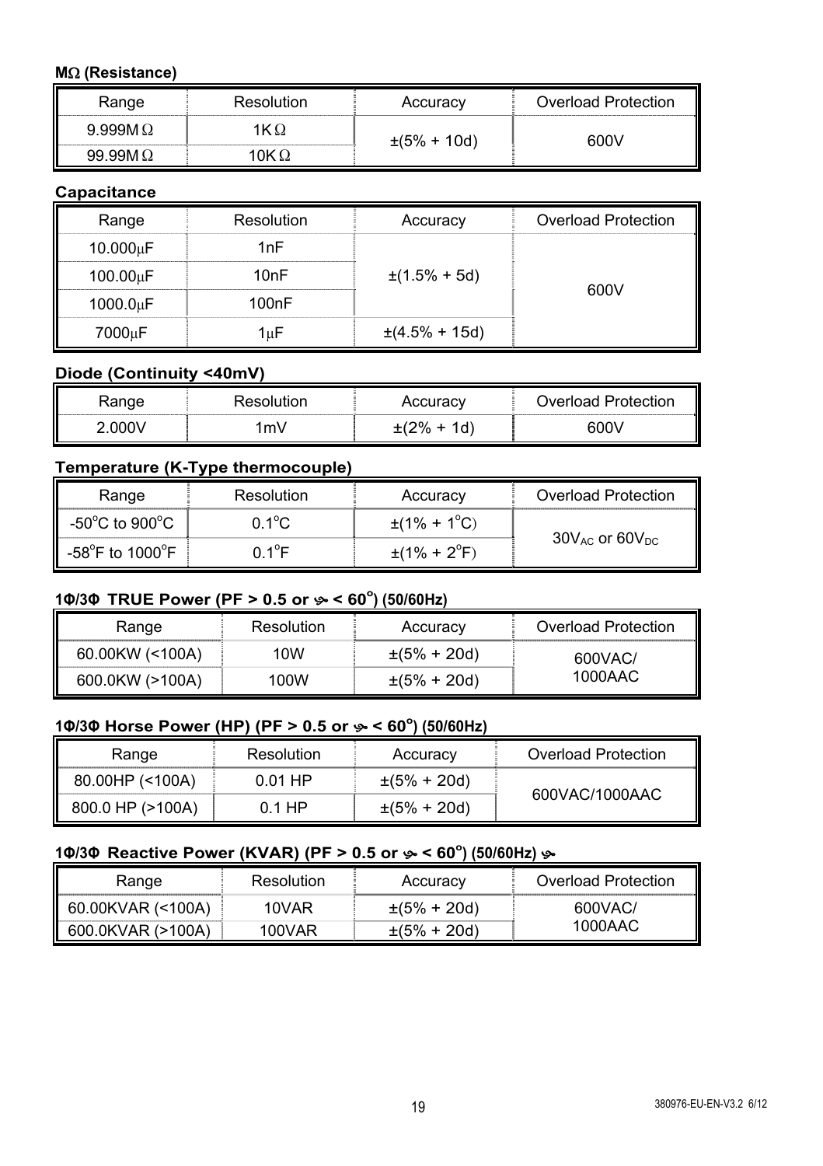## **M(Resistance)**

| Range           | Resolution | Accuracy | Overload Protection |
|-----------------|------------|----------|---------------------|
| 9.999M $\Omega$ |            | .0d`     | nnv                 |
| aa aam          |            |          |                     |

## **Capacitance**

| Range    | Resolution | Accuracy           | <b>Overload Protection</b> |
|----------|------------|--------------------|----------------------------|
| 10.000uF | 1nF        |                    |                            |
| 100.00uF | 10nF       | $\pm(1.5\% + 5d)$  | 600V                       |
| 1000.0uF | 100nF      |                    |                            |
| 7000uF   | luE        | $\pm(4.5\% + 15d)$ |                            |

## **Diode (Continuity <40mV)**

| √ange | пог. | ⊶uraC∨ | Overload Protection |
|-------|------|--------|---------------------|
| וחחח  | ึm∖  | d      | ና በበ                |

## **Temperature (K-Type thermocouple)**

| Range                                 | Resolution | Accuracy                      | Overload Protection      |
|---------------------------------------|------------|-------------------------------|--------------------------|
| -50 $^{\circ}$ C to 900 $^{\circ}$ C  | 0 1ºC      | $\pm$ (1% + 1 <sup>o</sup> C) |                          |
| -58 $^{\circ}$ F to 1000 $^{\circ}$ F | ∩ 1ºF      | $\pm(1\% + 2\degree F)$       | $30V_{AC}$ or $60V_{DC}$ |

## **1Φ/3Φ TRUE Power (PF > 0.5 or**  $\mathscr{P}$  **< 60<sup>°</sup>) (50/60Hz)**

| Range           | Resolution | Accuracy         | Overload Protection |
|-----------------|------------|------------------|---------------------|
| 60.00KW (<100A) | 10W        | $\pm(5\% + 20d)$ | 600VAC/             |
| 600.0KW (>100A) | 100W       | $\pm(5\% + 20d)$ | 1000AAC             |

## **1Φ/3Φ Horse Power (HP) (PF > 0.5 or < 60<sup>o</sup> ) (50/60Hz)**

| Range            | Resolution | Accuracy         | Overload Protection |
|------------------|------------|------------------|---------------------|
| 80.00HP (<100A)  | $0.01$ HP  | $\pm(5\% + 20d)$ | 600VAC/1000AAC      |
| 800.0 HP (>100A) | 0.1 HP     | $\pm(5\% + 20d)$ |                     |

## **10/30 Reactive Power (KVAR) (PF > 0.5 or**  $\gg$  **< 60°) (50/60Hz)**  $\gg$

| Range             | Resolution | Accuracy         | <b>Overload Protection</b> |
|-------------------|------------|------------------|----------------------------|
| 60.00KVAR (<100A) | 10VAR      | $\pm(5\% + 20d)$ | 600VAC/                    |
| 600 OKVAR (>100A) | 100VAR     | $\pm(5\% + 20d)$ | 1000AAC                    |